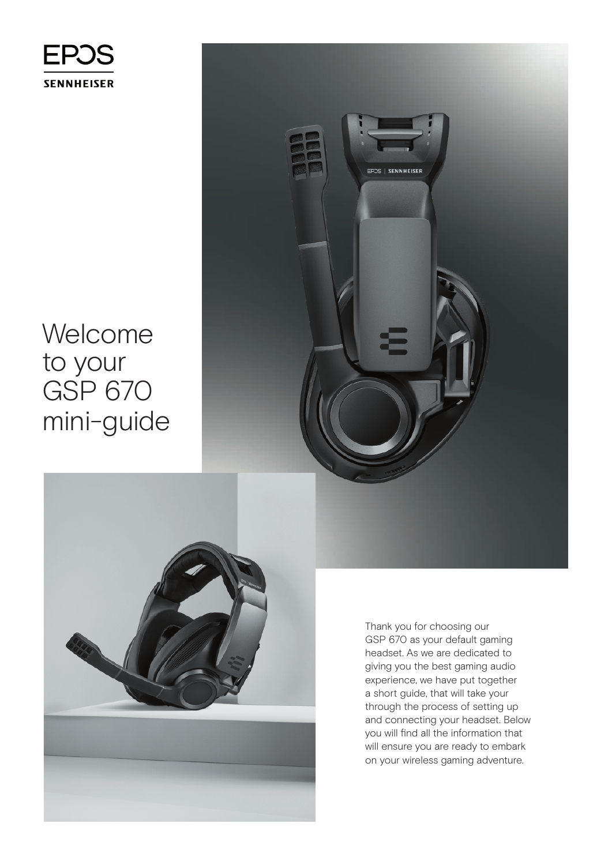

Welcome to your GSP 670 mini-guide



Thank you for choosing our GSP 670 as your default gaming headset. As we are dedicated to giving you the best gaming audio experience, we have put together a short guide, that will take your through the process of setting up and connecting your headset. Below you will find all the information that will ensure you are ready to embark on your wireless gaming adventure.

EPOS | SENNHEISER